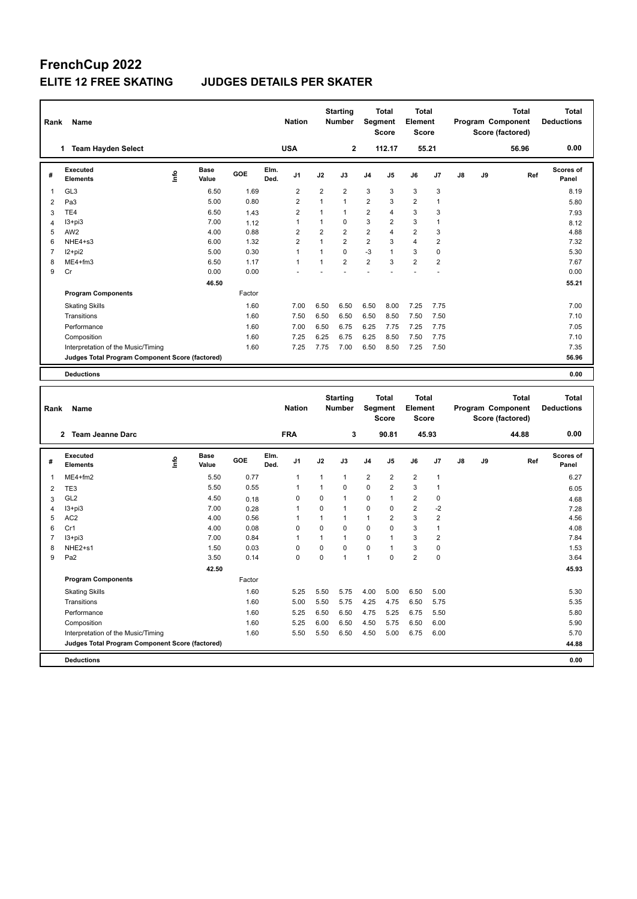## **FrenchCup 2022**

**Program Components** 

## **ELITE 12 FREE SKATING JUDGES DETAILS PER SKATER**

| Rank           | Name                                            |                                     |        |              | <b>Nation</b>  |                | <b>Starting</b><br><b>Number</b> | Segment        | <b>Total</b><br><b>Score</b> | <b>Total</b><br>Element<br><b>Score</b> |                |               |    | Total<br>Program Component<br>Score (factored)        | <b>Total</b><br><b>Deductions</b> |
|----------------|-------------------------------------------------|-------------------------------------|--------|--------------|----------------|----------------|----------------------------------|----------------|------------------------------|-----------------------------------------|----------------|---------------|----|-------------------------------------------------------|-----------------------------------|
|                | 1 Team Hayden Select                            |                                     |        |              | <b>USA</b>     |                | 2                                |                | 112.17                       |                                         | 55.21          |               |    | 56.96                                                 | 0.00                              |
| #              | <b>Executed</b><br><b>Elements</b>              | <b>Base</b><br><u>info</u><br>Value | GOE    | Elm.<br>Ded. | J1             | J2             | J3                               | J <sub>4</sub> | J <sub>5</sub>               | J6                                      | J <sub>7</sub> | $\mathsf{J}8$ | J9 | Ref                                                   | Scores of<br>Panel                |
| $\overline{1}$ | GL <sub>3</sub>                                 | 6.50                                | 1.69   |              | $\overline{2}$ | $\overline{2}$ | $\overline{2}$                   | 3              | 3                            | 3                                       | 3              |               |    |                                                       | 8.19                              |
| $\overline{2}$ | Pa3                                             | 5.00                                | 0.80   |              | $\overline{2}$ | $\mathbf{1}$   | $\mathbf{1}$                     | $\overline{2}$ | 3                            | $\overline{2}$                          | 1              |               |    |                                                       | 5.80                              |
| 3              | TE <sub>4</sub>                                 | 6.50                                | 1.43   |              | $\overline{2}$ | $\mathbf{1}$   | $\mathbf{1}$                     | 2              | 4                            | 3                                       | 3              |               |    |                                                       | 7.93                              |
| Δ              | $13 + pi3$                                      | 7.00                                | 1.12   |              | $\mathbf{1}$   | $\mathbf{1}$   | $\mathbf 0$                      | 3              | $\overline{2}$               | 3                                       | $\mathbf{1}$   |               |    |                                                       | 8.12                              |
| 5              | AW <sub>2</sub>                                 | 4.00                                | 0.88   |              | $\overline{2}$ | $\overline{2}$ | $\overline{2}$                   | $\overline{2}$ | 4                            | $\overline{2}$                          | 3              |               |    |                                                       | 4.88                              |
| 6              | NHE4+s3                                         | 6.00                                | 1.32   |              | $\overline{2}$ | $\mathbf{1}$   | $\overline{2}$                   | $\overline{2}$ | 3                            | $\overline{4}$                          | $\overline{2}$ |               |    |                                                       | 7.32                              |
| $\overline{7}$ | $12+pi2$                                        | 5.00                                | 0.30   |              | $\mathbf{1}$   | $\mathbf{1}$   | $\Omega$                         | $-3$           | $\mathbf{1}$                 | 3                                       | 0              |               |    |                                                       | 5.30                              |
| 8              | ME4+fm3                                         | 6.50                                | 1.17   |              | 1              | $\mathbf{1}$   | $\overline{2}$                   | $\overline{2}$ | 3                            | $\overline{2}$                          | $\overline{2}$ |               |    |                                                       | 7.67                              |
| 9              | Cr                                              | 0.00                                | 0.00   |              |                |                |                                  |                |                              |                                         |                |               |    |                                                       | 0.00                              |
|                |                                                 | 46.50                               |        |              |                |                |                                  |                |                              |                                         |                |               |    |                                                       | 55.21                             |
|                | <b>Program Components</b>                       |                                     | Factor |              |                |                |                                  |                |                              |                                         |                |               |    |                                                       |                                   |
|                | <b>Skating Skills</b>                           |                                     | 1.60   |              | 7.00           | 6.50           | 6.50                             | 6.50           | 8.00                         | 7.25                                    | 7.75           |               |    |                                                       | 7.00                              |
|                | Transitions                                     |                                     | 1.60   |              | 7.50           | 6.50           | 6.50                             | 6.50           | 8.50                         | 7.50                                    | 7.50           |               |    |                                                       | 7.10                              |
|                | Performance                                     |                                     | 1.60   |              | 7.00           | 6.50           | 6.75                             | 6.25           | 7.75                         | 7.25                                    | 7.75           |               |    |                                                       | 7.05                              |
|                | Composition                                     |                                     | 1.60   |              | 7.25           | 6.25           | 6.75                             | 6.25           | 8.50                         | 7.50                                    | 7.75           |               |    |                                                       | 7.10                              |
|                | Interpretation of the Music/Timing              |                                     | 1.60   |              | 7.25           | 7.75           | 7.00                             | 6.50           | 8.50                         | 7.25                                    | 7.50           |               |    |                                                       | 7.35                              |
|                | Judges Total Program Component Score (factored) |                                     |        |              |                |                |                                  |                |                              |                                         |                |               |    |                                                       | 56.96                             |
|                |                                                 |                                     |        |              |                |                |                                  |                |                              |                                         |                |               |    |                                                       |                                   |
|                | <b>Deductions</b>                               |                                     |        |              |                |                |                                  |                |                              |                                         |                |               |    |                                                       | 0.00                              |
| Rank           | Name                                            |                                     |        |              | <b>Nation</b>  |                | <b>Starting</b><br><b>Number</b> | <b>Segment</b> | <b>Total</b><br><b>Score</b> | Total<br>Element<br><b>Score</b>        |                |               |    | <b>Total</b><br>Program Component<br>Score (factored) | <b>Total</b><br><b>Deductions</b> |
|                | 2 Team Jeanne Darc                              |                                     |        |              | <b>FRA</b>     |                | 3                                |                | 90.81                        |                                         | 45.93          |               |    | 44.88                                                 | 0.00                              |
| #              | <b>Executed</b><br><b>Elements</b>              | <b>Base</b><br>١nf٥<br>Value        | GOE    | Elm.<br>Ded. | J1             | J2             | J3                               | J <sub>4</sub> | J <sub>5</sub>               | J6                                      | J <sub>7</sub> | $\mathsf{J}8$ | J9 | Ref                                                   | Scores of<br>Panel                |
| $\overline{1}$ | ME4+fm2                                         | 5.50                                | 0.77   |              | $\mathbf{1}$   | $\mathbf{1}$   | $\mathbf{1}$                     | $\overline{2}$ | $\overline{2}$               | $\overline{2}$                          | $\mathbf{1}$   |               |    |                                                       | 6.27                              |
| $\overline{2}$ | TE <sub>3</sub>                                 | 5.50                                | 0.55   |              | 1              | $\mathbf{1}$   | $\mathbf 0$                      | $\mathbf 0$    | $\overline{2}$               | 3                                       | $\mathbf{1}$   |               |    |                                                       | 6.05                              |
| 3              | GL <sub>2</sub>                                 | 4.50                                | 0.18   |              | $\Omega$       | $\Omega$       | $\mathbf{1}$                     | 0              | $\mathbf{1}$                 | $\overline{2}$                          | 0              |               |    |                                                       | 4.68                              |
| $\Lambda$      | $13 + pi3$                                      | 7.00                                | 0.28   |              | 1              | $\Omega$       | $\mathbf{1}$                     | $\Omega$       | $\Omega$                     | $\overline{2}$                          | $-2$           |               |    |                                                       | 7.28                              |

 AC2 4.00 0.56 1 1 1 1 2 3 2 4.56 Cr1 4.00 0.08 0 0 0 0 0 3 1 4.08 I3+pi3 7.00 0.84 1 1 1 0 1 3 2 7.84 NHE2+s1 1.50 0.03 0 0 0 0 1 3 0 1.53 Pa2 3.50 0.14 0 0 1 1 0 2 0 3.64

Skating Skills 1.60 5.25 5.50 5.75 4.00 5.00 6.50 5.00 5.30

Transitions 1.60 5.00 5.50 5.75 4.25 4.75 6.50 5.75 5.35 5.35 Performance 2.60 5.25 6.50 5.25 6.50 6.50 6.50 6.50 6.50 5.80 5.80 Composition 1.60 5.25 6.00 6.50 4.50 5.75 6.50 6.00 5.90

**Deductions 0.00 Judges Total Program Component Score (factored) 44.88**

Factor

 **42.50 45.93**

Interpretation of the Music/Timing 1.60 5.50 5.50 6.50 4.50 5.00 6.75 6.00 5.70